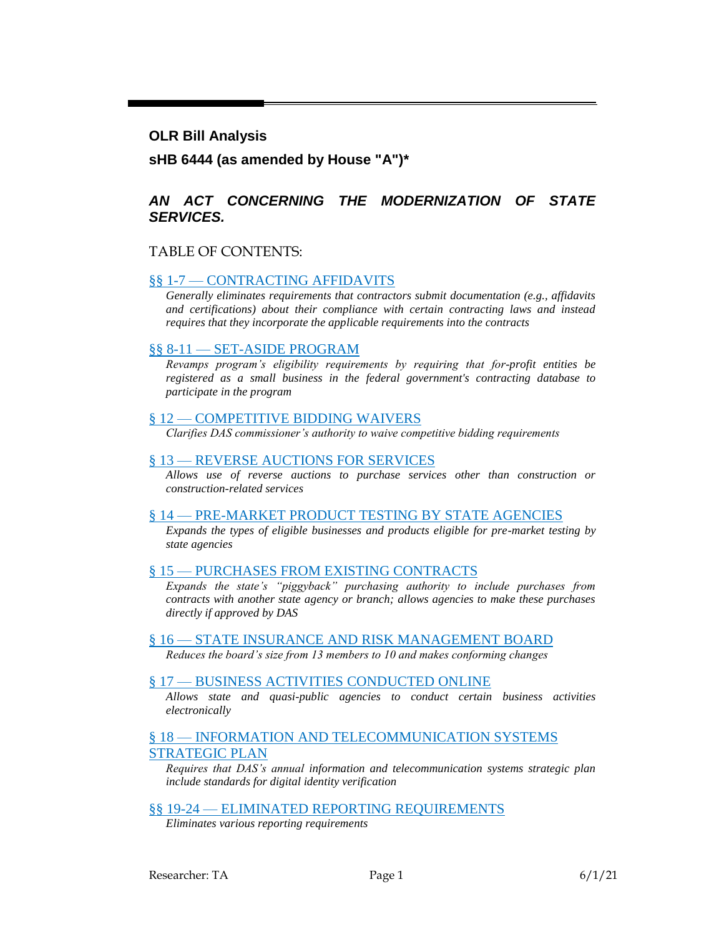#### **OLR Bill Analysis**

#### **sHB 6444 (as amended by House "A")\***

#### *AN ACT CONCERNING THE MODERNIZATION OF STATE SERVICES.*

#### TABLE OF CONTENTS:

#### §§ 1-7 — [CONTRACTING AFFIDAVITS](#page-1-0)

*[Generally eliminates requirements that contractors submit documentation \(e.g., affidavits](#page-1-1)  [and certifications\) about their compliance with certain contracting laws and instead](#page-1-1)  [requires that they incorporate the applicable requirements into the contracts](#page-1-1)*

#### §§ 8-11 — [SET-ASIDE PROGRAM](#page-6-0)

*[Revamps program's eligibility requirements by requiring that for-profit entities be](#page-6-1)  [registered as a small business in the federal government's contracting database to](#page-6-1)  [participate in the program](#page-6-1)*

#### § 12 — [COMPETITIVE BIDDING WAIVERS](#page-7-0)

*[Clarifies DAS commissioner's authority to waive competitive bidding requirements](#page-7-1)*

#### § 13 — [REVERSE AUCTIONS FOR](#page-8-0) SERVICES

*[Allows use of reverse auctions to purchase services other than construction or](#page-8-1)  [construction-related services](#page-8-1)*

#### § 14 — [PRE-MARKET PRODUCT TESTING BY STATE AGENCIES](#page-8-2)

*[Expands the types of eligible businesses and products eligible for pre-market testing by](#page-8-3)  [state agencies](#page-8-3)*

#### § 15 — [PURCHASES FROM EXISTING CONTRACTS](#page-10-0)

*[Expands the state's "piggyback" purchasing authority to include purchases from](#page-11-0)  [contracts with another state agency or branch; allows agencies to make these purchases](#page-11-0)  [directly if approved by DAS](#page-11-0)*

#### § 16 — [STATE INSURANCE AND RISK](#page-11-1) MANAGEMENT BOARD

*[Reduces the board's size from 13 members to 10 and makes conforming changes](#page-11-2)*

#### § 17 — [BUSINESS ACTIVITIES CONDUCTED ONLINE](#page-11-3)

*[Allows state and quasi-public agencies to conduct certain business activities](#page-11-4)  [electronically](#page-11-4)*

#### § 18 — [INFORMATION AND TELECOMMUNICATION SYSTEMS](#page-12-0)  [STRATEGIC PLAN](#page-12-0)

*[Requires that DAS's annual information and telecommunication systems strategic plan](#page-12-1)  [include standards for digital identity verification](#page-12-1)*

§§ 19-24 — [ELIMINATED REPORTING](#page-13-0) REQUIREMENTS

*[Eliminates various reporting requirements](#page-13-1)*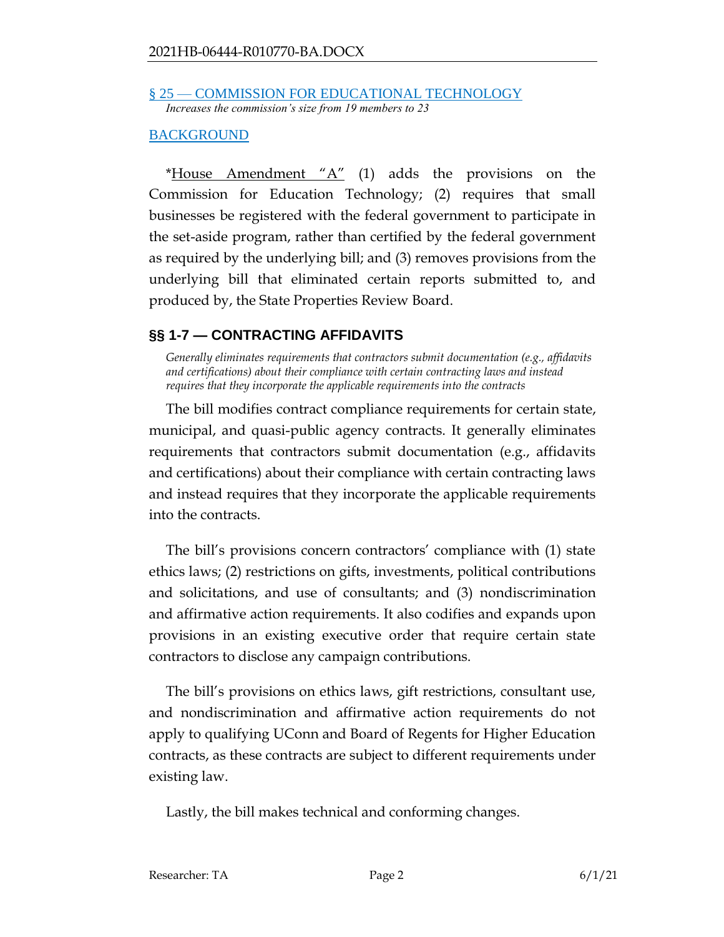§ 25 — [COMMISSION FOR EDUCATIONAL TECHNOLOGY](#page-13-2) *[Increases the commission's size from 19 members to 23](#page-13-3)*

#### [BACKGROUND](#page-14-0)

\*House Amendment " $A$ " (1) adds the provisions on the Commission for Education Technology; (2) requires that small businesses be registered with the federal government to participate in the set-aside program, rather than certified by the federal government as required by the underlying bill; and (3) removes provisions from the underlying bill that eliminated certain reports submitted to, and produced by, the State Properties Review Board.

# <span id="page-1-0"></span>**§§ 1-7 — CONTRACTING AFFIDAVITS**

<span id="page-1-1"></span>*Generally eliminates requirements that contractors submit documentation (e.g., affidavits and certifications) about their compliance with certain contracting laws and instead requires that they incorporate the applicable requirements into the contracts*

The bill modifies contract compliance requirements for certain state, municipal, and quasi-public agency contracts. It generally eliminates requirements that contractors submit documentation (e.g., affidavits and certifications) about their compliance with certain contracting laws and instead requires that they incorporate the applicable requirements into the contracts.

The bill's provisions concern contractors' compliance with (1) state ethics laws; (2) restrictions on gifts, investments, political contributions and solicitations, and use of consultants; and (3) nondiscrimination and affirmative action requirements. It also codifies and expands upon provisions in an existing executive order that require certain state contractors to disclose any campaign contributions.

The bill's provisions on ethics laws, gift restrictions, consultant use, and nondiscrimination and affirmative action requirements do not apply to qualifying UConn and Board of Regents for Higher Education contracts, as these contracts are subject to different requirements under existing law.

Lastly, the bill makes technical and conforming changes.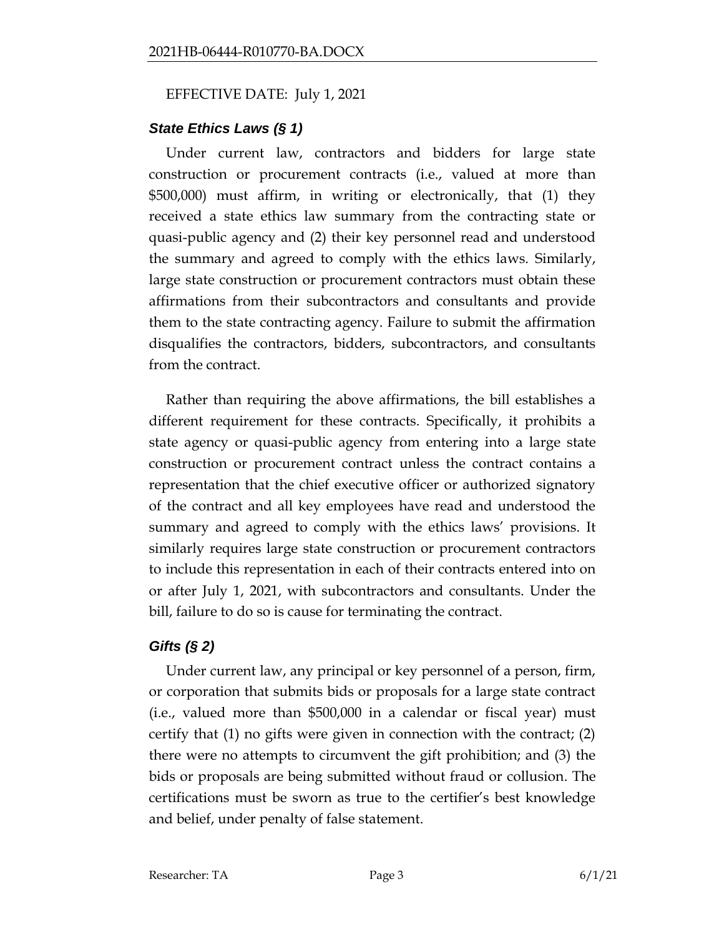#### EFFECTIVE DATE: July 1, 2021

# *State Ethics Laws (§ 1)*

Under current law, contractors and bidders for large state construction or procurement contracts (i.e., valued at more than \$500,000) must affirm, in writing or electronically, that (1) they received a state ethics law summary from the contracting state or quasi-public agency and (2) their key personnel read and understood the summary and agreed to comply with the ethics laws. Similarly, large state construction or procurement contractors must obtain these affirmations from their subcontractors and consultants and provide them to the state contracting agency. Failure to submit the affirmation disqualifies the contractors, bidders, subcontractors, and consultants from the contract.

Rather than requiring the above affirmations, the bill establishes a different requirement for these contracts. Specifically, it prohibits a state agency or quasi-public agency from entering into a large state construction or procurement contract unless the contract contains a representation that the chief executive officer or authorized signatory of the contract and all key employees have read and understood the summary and agreed to comply with the ethics laws' provisions. It similarly requires large state construction or procurement contractors to include this representation in each of their contracts entered into on or after July 1, 2021, with subcontractors and consultants. Under the bill, failure to do so is cause for terminating the contract.

# *Gifts (§ 2)*

Under current law, any principal or key personnel of a person, firm, or corporation that submits bids or proposals for a large state contract (i.e., valued more than \$500,000 in a calendar or fiscal year) must certify that (1) no gifts were given in connection with the contract; (2) there were no attempts to circumvent the gift prohibition; and (3) the bids or proposals are being submitted without fraud or collusion. The certifications must be sworn as true to the certifier's best knowledge and belief, under penalty of false statement.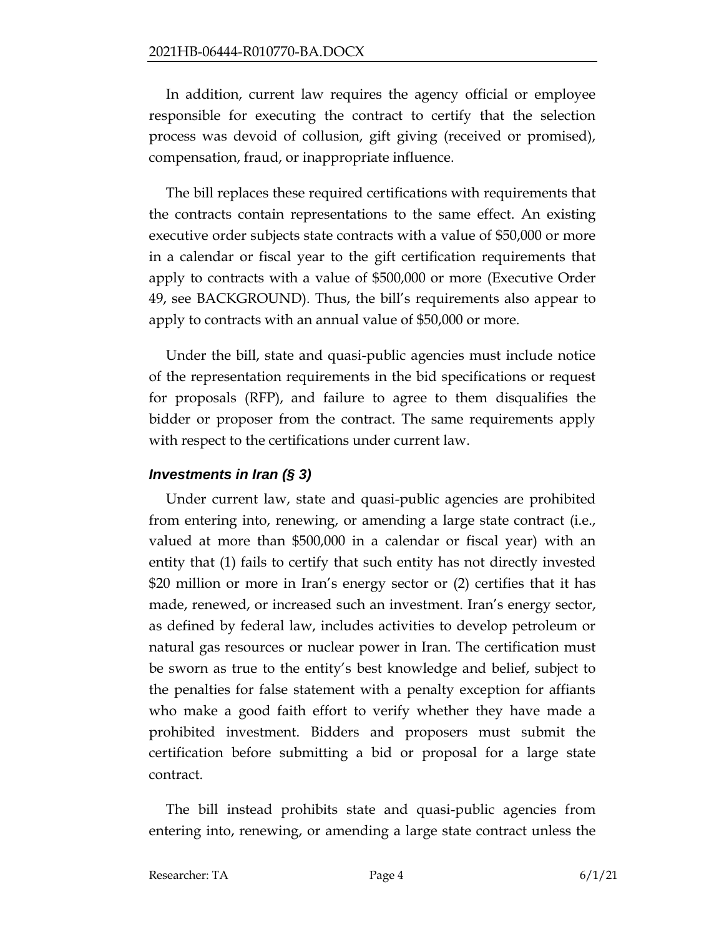In addition, current law requires the agency official or employee responsible for executing the contract to certify that the selection process was devoid of collusion, gift giving (received or promised), compensation, fraud, or inappropriate influence.

The bill replaces these required certifications with requirements that the contracts contain representations to the same effect. An existing executive order subjects state contracts with a value of \$50,000 or more in a calendar or fiscal year to the gift certification requirements that apply to contracts with a value of \$500,000 or more (Executive Order 49, see BACKGROUND). Thus, the bill's requirements also appear to apply to contracts with an annual value of \$50,000 or more.

Under the bill, state and quasi-public agencies must include notice of the representation requirements in the bid specifications or request for proposals (RFP), and failure to agree to them disqualifies the bidder or proposer from the contract. The same requirements apply with respect to the certifications under current law.

# *Investments in Iran (§ 3)*

Under current law, state and quasi-public agencies are prohibited from entering into, renewing, or amending a large state contract (i.e., valued at more than \$500,000 in a calendar or fiscal year) with an entity that (1) fails to certify that such entity has not directly invested \$20 million or more in Iran's energy sector or (2) certifies that it has made, renewed, or increased such an investment. Iran's energy sector, as defined by federal law, includes activities to develop petroleum or natural gas resources or nuclear power in Iran. The certification must be sworn as true to the entity's best knowledge and belief, subject to the penalties for false statement with a penalty exception for affiants who make a good faith effort to verify whether they have made a prohibited investment. Bidders and proposers must submit the certification before submitting a bid or proposal for a large state contract.

The bill instead prohibits state and quasi-public agencies from entering into, renewing, or amending a large state contract unless the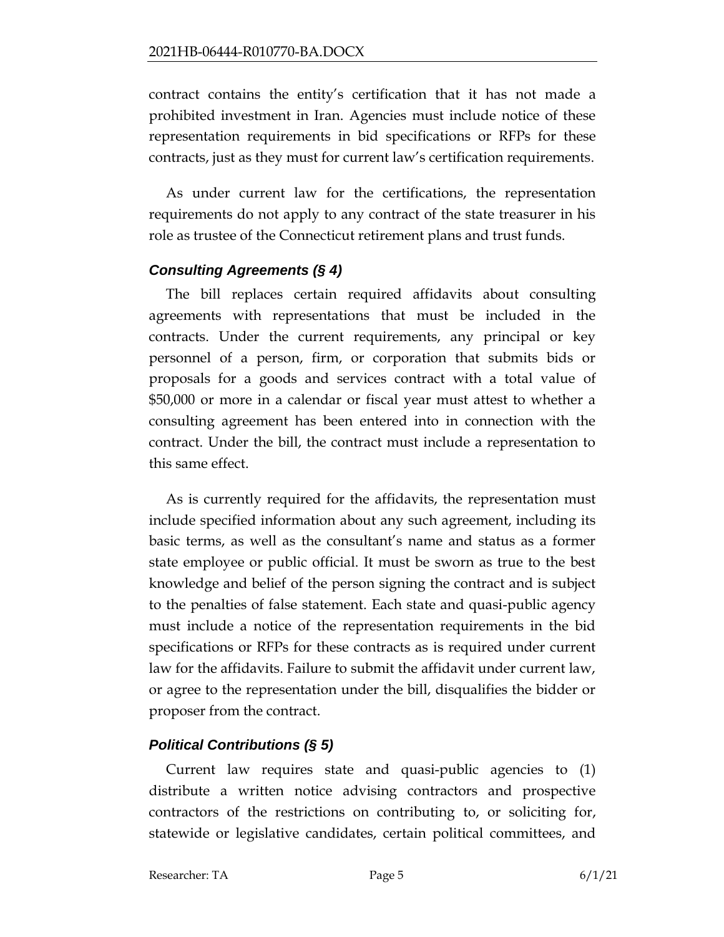contract contains the entity's certification that it has not made a prohibited investment in Iran. Agencies must include notice of these representation requirements in bid specifications or RFPs for these contracts, just as they must for current law's certification requirements.

As under current law for the certifications, the representation requirements do not apply to any contract of the state treasurer in his role as trustee of the Connecticut retirement plans and trust funds.

# *Consulting Agreements (§ 4)*

The bill replaces certain required affidavits about consulting agreements with representations that must be included in the contracts. Under the current requirements, any principal or key personnel of a person, firm, or corporation that submits bids or proposals for a goods and services contract with a total value of \$50,000 or more in a calendar or fiscal year must attest to whether a consulting agreement has been entered into in connection with the contract. Under the bill, the contract must include a representation to this same effect.

As is currently required for the affidavits, the representation must include specified information about any such agreement, including its basic terms, as well as the consultant's name and status as a former state employee or public official. It must be sworn as true to the best knowledge and belief of the person signing the contract and is subject to the penalties of false statement. Each state and quasi-public agency must include a notice of the representation requirements in the bid specifications or RFPs for these contracts as is required under current law for the affidavits. Failure to submit the affidavit under current law, or agree to the representation under the bill, disqualifies the bidder or proposer from the contract.

# *Political Contributions (§ 5)*

Current law requires state and quasi-public agencies to (1) distribute a written notice advising contractors and prospective contractors of the restrictions on contributing to, or soliciting for, statewide or legislative candidates, certain political committees, and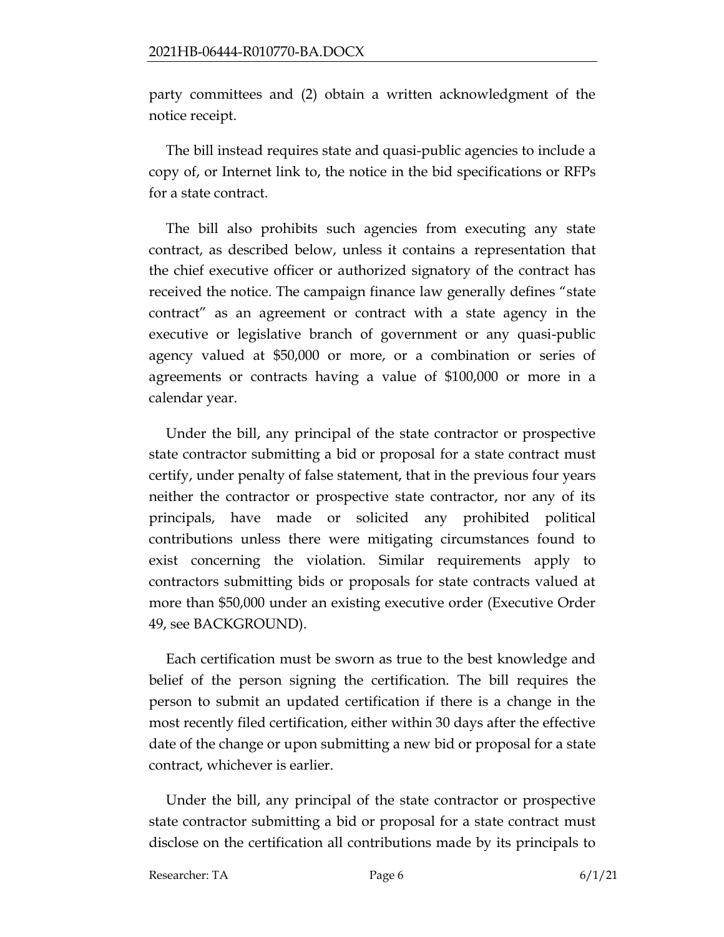party committees and (2) obtain a written acknowledgment of the notice receipt.

The bill instead requires state and quasi-public agencies to include a copy of, or Internet link to, the notice in the bid specifications or RFPs for a state contract.

The bill also prohibits such agencies from executing any state contract, as described below, unless it contains a representation that the chief executive officer or authorized signatory of the contract has received the notice. The campaign finance law generally defines "state contract" as an agreement or contract with a state agency in the executive or legislative branch of government or any quasi-public agency valued at \$50,000 or more, or a combination or series of agreements or contracts having a value of \$100,000 or more in a calendar year.

Under the bill, any principal of the state contractor or prospective state contractor submitting a bid or proposal for a state contract must certify, under penalty of false statement, that in the previous four years neither the contractor or prospective state contractor, nor any of its principals, have made or solicited any prohibited political contributions unless there were mitigating circumstances found to exist concerning the violation. Similar requirements apply to contractors submitting bids or proposals for state contracts valued at more than \$50,000 under an existing executive order (Executive Order 49, see BACKGROUND).

Each certification must be sworn as true to the best knowledge and belief of the person signing the certification. The bill requires the person to submit an updated certification if there is a change in the most recently filed certification, either within 30 days after the effective date of the change or upon submitting a new bid or proposal for a state contract, whichever is earlier.

Under the bill, any principal of the state contractor or prospective state contractor submitting a bid or proposal for a state contract must disclose on the certification all contributions made by its principals to

Researcher: TA Page 6 6/1/21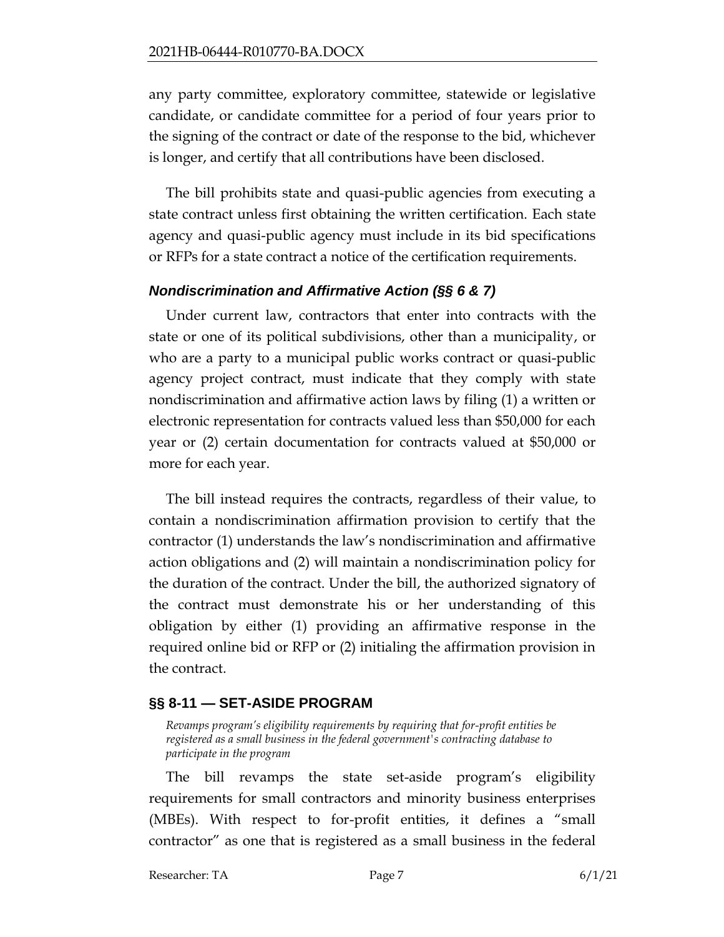any party committee, exploratory committee, statewide or legislative candidate, or candidate committee for a period of four years prior to the signing of the contract or date of the response to the bid, whichever is longer, and certify that all contributions have been disclosed.

The bill prohibits state and quasi-public agencies from executing a state contract unless first obtaining the written certification. Each state agency and quasi-public agency must include in its bid specifications or RFPs for a state contract a notice of the certification requirements.

### *Nondiscrimination and Affirmative Action (§§ 6 & 7)*

Under current law, contractors that enter into contracts with the state or one of its political subdivisions, other than a municipality, or who are a party to a municipal public works contract or quasi-public agency project contract, must indicate that they comply with state nondiscrimination and affirmative action laws by filing (1) a written or electronic representation for contracts valued less than \$50,000 for each year or (2) certain documentation for contracts valued at \$50,000 or more for each year.

The bill instead requires the contracts, regardless of their value, to contain a nondiscrimination affirmation provision to certify that the contractor (1) understands the law's nondiscrimination and affirmative action obligations and (2) will maintain a nondiscrimination policy for the duration of the contract. Under the bill, the authorized signatory of the contract must demonstrate his or her understanding of this obligation by either (1) providing an affirmative response in the required online bid or RFP or (2) initialing the affirmation provision in the contract.

# <span id="page-6-0"></span>**§§ 8-11 — SET-ASIDE PROGRAM**

<span id="page-6-1"></span>*Revamps program's eligibility requirements by requiring that for-profit entities be registered as a small business in the federal government's contracting database to participate in the program*

The bill revamps the state set-aside program's eligibility requirements for small contractors and minority business enterprises (MBEs). With respect to for-profit entities, it defines a "small contractor" as one that is registered as a small business in the federal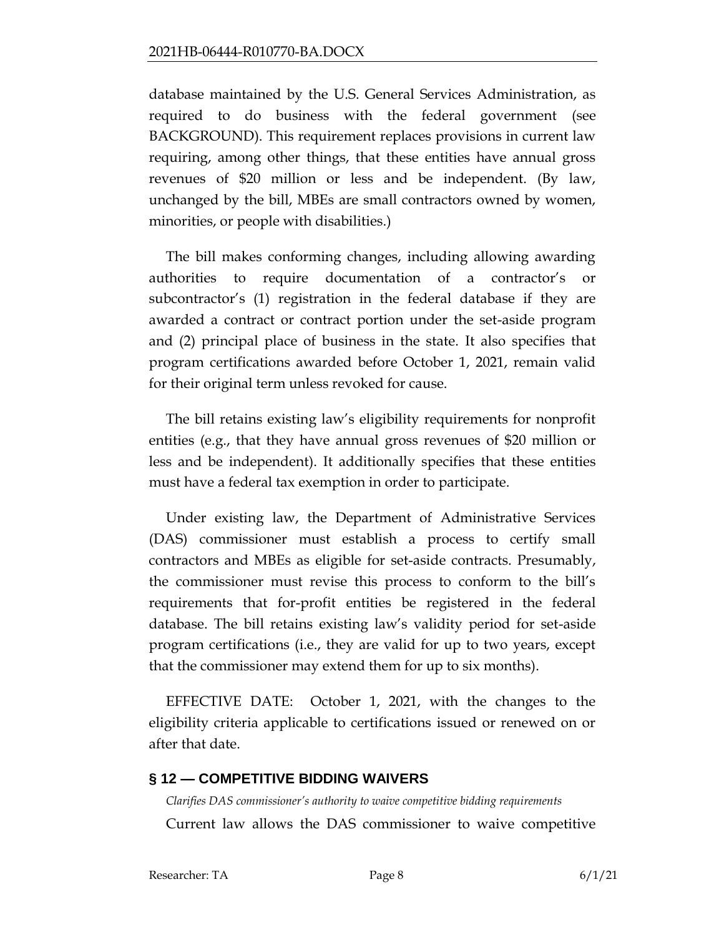database maintained by the U.S. General Services Administration, as required to do business with the federal government (see BACKGROUND). This requirement replaces provisions in current law requiring, among other things, that these entities have annual gross revenues of \$20 million or less and be independent. (By law, unchanged by the bill, MBEs are small contractors owned by women, minorities, or people with disabilities.)

The bill makes conforming changes, including allowing awarding authorities to require documentation of a contractor's or subcontractor's (1) registration in the federal database if they are awarded a contract or contract portion under the set-aside program and (2) principal place of business in the state. It also specifies that program certifications awarded before October 1, 2021, remain valid for their original term unless revoked for cause.

The bill retains existing law's eligibility requirements for nonprofit entities (e.g., that they have annual gross revenues of \$20 million or less and be independent). It additionally specifies that these entities must have a federal tax exemption in order to participate.

Under existing law, the Department of Administrative Services (DAS) commissioner must establish a process to certify small contractors and MBEs as eligible for set-aside contracts. Presumably, the commissioner must revise this process to conform to the bill's requirements that for-profit entities be registered in the federal database. The bill retains existing law's validity period for set-aside program certifications (i.e., they are valid for up to two years, except that the commissioner may extend them for up to six months).

EFFECTIVE DATE: October 1, 2021, with the changes to the eligibility criteria applicable to certifications issued or renewed on or after that date.

#### <span id="page-7-0"></span>**§ 12 — COMPETITIVE BIDDING WAIVERS**

<span id="page-7-1"></span>*Clarifies DAS commissioner's authority to waive competitive bidding requirements* Current law allows the DAS commissioner to waive competitive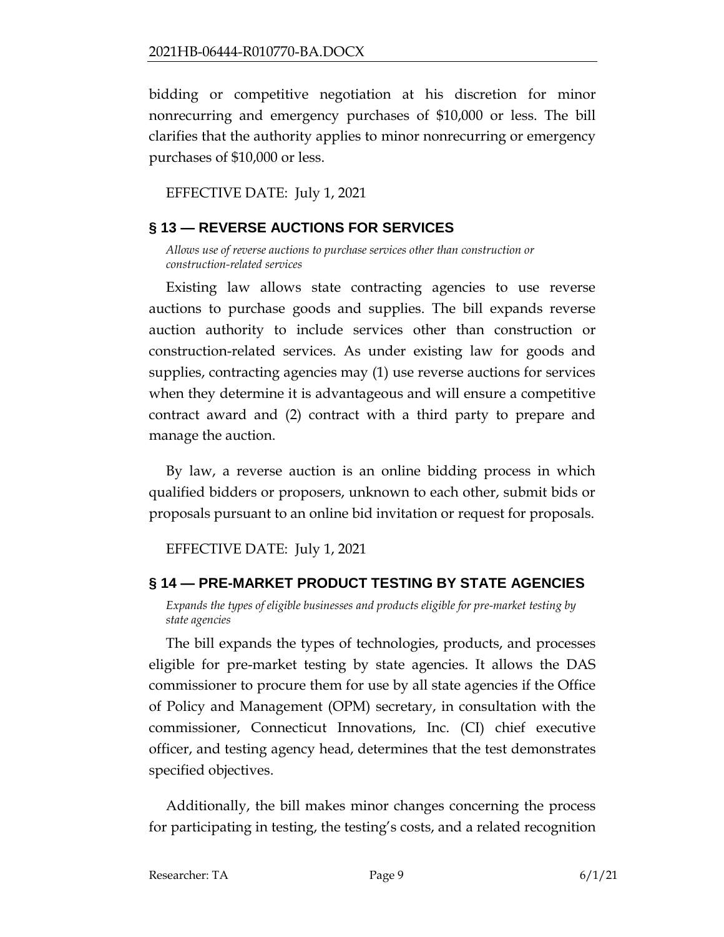bidding or competitive negotiation at his discretion for minor nonrecurring and emergency purchases of \$10,000 or less. The bill clarifies that the authority applies to minor nonrecurring or emergency purchases of \$10,000 or less.

EFFECTIVE DATE: July 1, 2021

# <span id="page-8-0"></span>**§ 13 — REVERSE AUCTIONS FOR SERVICES**

<span id="page-8-1"></span>*Allows use of reverse auctions to purchase services other than construction or construction-related services*

Existing law allows state contracting agencies to use reverse auctions to purchase goods and supplies. The bill expands reverse auction authority to include services other than construction or construction-related services. As under existing law for goods and supplies, contracting agencies may (1) use reverse auctions for services when they determine it is advantageous and will ensure a competitive contract award and (2) contract with a third party to prepare and manage the auction.

By law, a reverse auction is an online bidding process in which qualified bidders or proposers, unknown to each other, submit bids or proposals pursuant to an online bid invitation or request for proposals.

EFFECTIVE DATE: July 1, 2021

# <span id="page-8-2"></span>**§ 14 — PRE-MARKET PRODUCT TESTING BY STATE AGENCIES**

<span id="page-8-3"></span>*Expands the types of eligible businesses and products eligible for pre-market testing by state agencies*

The bill expands the types of technologies, products, and processes eligible for pre-market testing by state agencies. It allows the DAS commissioner to procure them for use by all state agencies if the Office of Policy and Management (OPM) secretary, in consultation with the commissioner, Connecticut Innovations, Inc. (CI) chief executive officer, and testing agency head, determines that the test demonstrates specified objectives.

Additionally, the bill makes minor changes concerning the process for participating in testing, the testing's costs, and a related recognition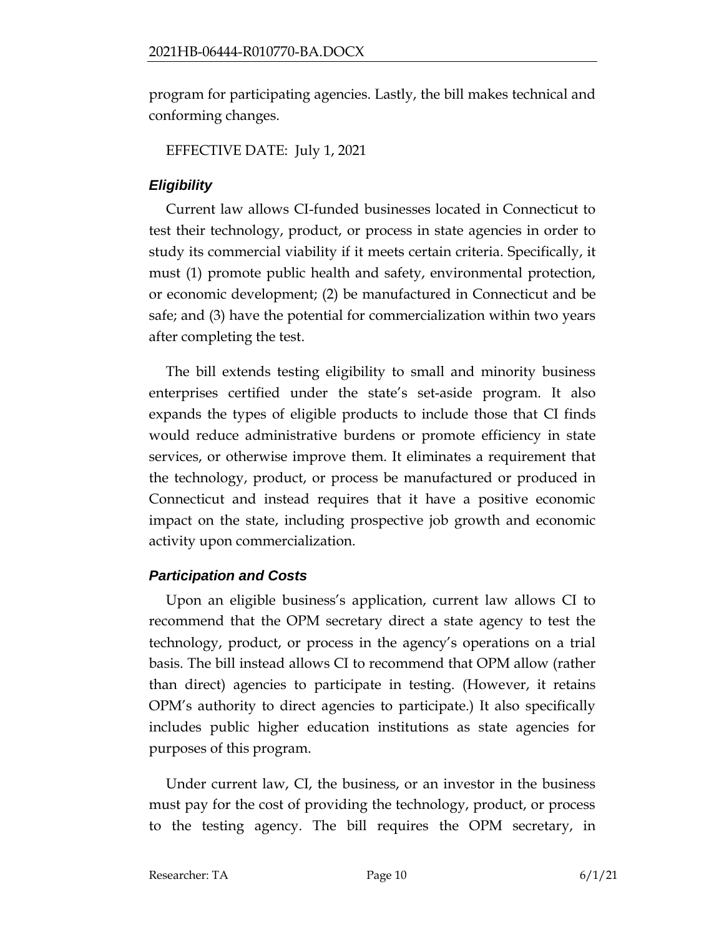program for participating agencies. Lastly, the bill makes technical and conforming changes.

EFFECTIVE DATE: July 1, 2021

# *Eligibility*

Current law allows CI-funded businesses located in Connecticut to test their technology, product, or process in state agencies in order to study its commercial viability if it meets certain criteria. Specifically, it must (1) promote public health and safety, environmental protection, or economic development; (2) be manufactured in Connecticut and be safe; and (3) have the potential for commercialization within two years after completing the test.

The bill extends testing eligibility to small and minority business enterprises certified under the state's set-aside program. It also expands the types of eligible products to include those that CI finds would reduce administrative burdens or promote efficiency in state services, or otherwise improve them. It eliminates a requirement that the technology, product, or process be manufactured or produced in Connecticut and instead requires that it have a positive economic impact on the state, including prospective job growth and economic activity upon commercialization.

# *Participation and Costs*

Upon an eligible business's application, current law allows CI to recommend that the OPM secretary direct a state agency to test the technology, product, or process in the agency's operations on a trial basis. The bill instead allows CI to recommend that OPM allow (rather than direct) agencies to participate in testing. (However, it retains OPM's authority to direct agencies to participate.) It also specifically includes public higher education institutions as state agencies for purposes of this program.

Under current law, CI, the business, or an investor in the business must pay for the cost of providing the technology, product, or process to the testing agency. The bill requires the OPM secretary, in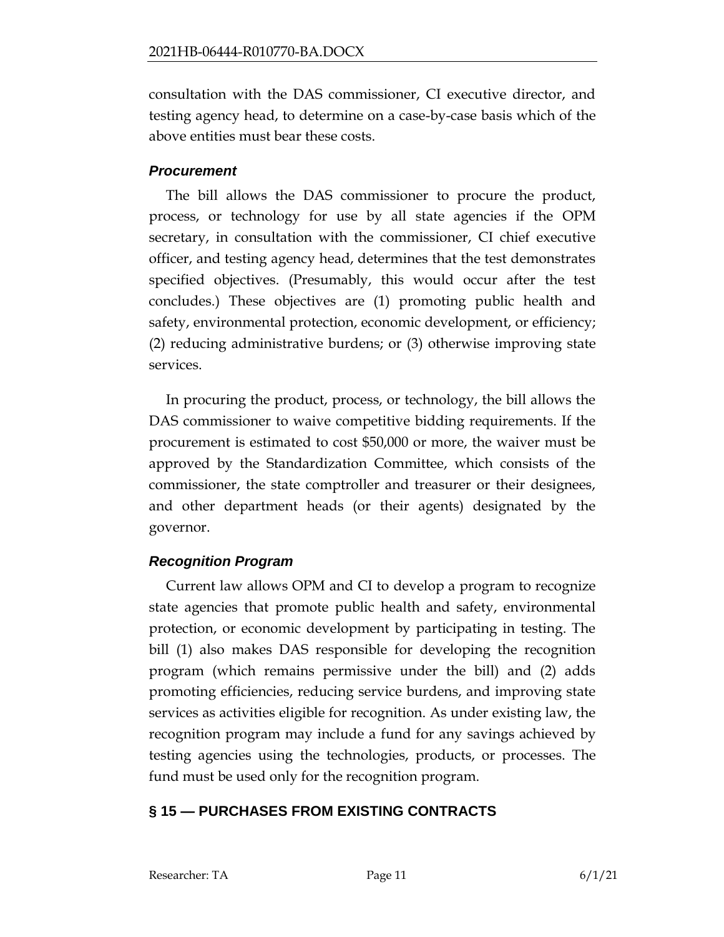consultation with the DAS commissioner, CI executive director, and testing agency head, to determine on a case-by-case basis which of the above entities must bear these costs.

#### *Procurement*

The bill allows the DAS commissioner to procure the product, process, or technology for use by all state agencies if the OPM secretary, in consultation with the commissioner, CI chief executive officer, and testing agency head, determines that the test demonstrates specified objectives. (Presumably, this would occur after the test concludes.) These objectives are (1) promoting public health and safety, environmental protection, economic development, or efficiency; (2) reducing administrative burdens; or (3) otherwise improving state services.

In procuring the product, process, or technology, the bill allows the DAS commissioner to waive competitive bidding requirements. If the procurement is estimated to cost \$50,000 or more, the waiver must be approved by the Standardization Committee, which consists of the commissioner, the state comptroller and treasurer or their designees, and other department heads (or their agents) designated by the governor.

# *Recognition Program*

Current law allows OPM and CI to develop a program to recognize state agencies that promote public health and safety, environmental protection, or economic development by participating in testing. The bill (1) also makes DAS responsible for developing the recognition program (which remains permissive under the bill) and (2) adds promoting efficiencies, reducing service burdens, and improving state services as activities eligible for recognition. As under existing law, the recognition program may include a fund for any savings achieved by testing agencies using the technologies, products, or processes. The fund must be used only for the recognition program.

# <span id="page-10-0"></span>**§ 15 — PURCHASES FROM EXISTING CONTRACTS**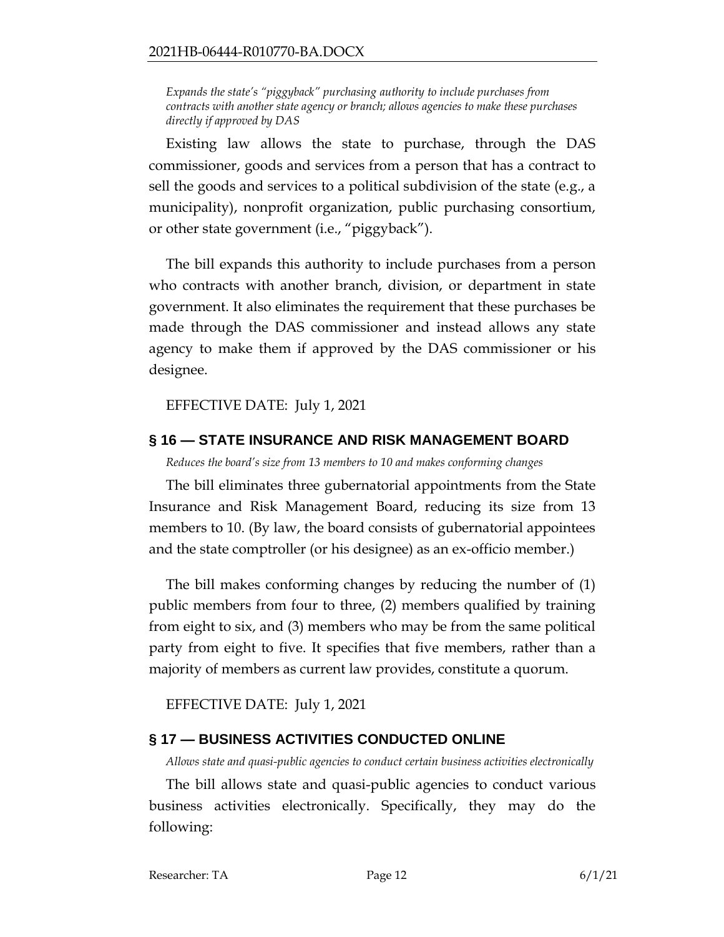<span id="page-11-0"></span>*Expands the state's "piggyback" purchasing authority to include purchases from contracts with another state agency or branch; allows agencies to make these purchases directly if approved by DAS*

Existing law allows the state to purchase, through the DAS commissioner, goods and services from a person that has a contract to sell the goods and services to a political subdivision of the state (e.g., a municipality), nonprofit organization, public purchasing consortium, or other state government (i.e., "piggyback").

The bill expands this authority to include purchases from a person who contracts with another branch, division, or department in state government. It also eliminates the requirement that these purchases be made through the DAS commissioner and instead allows any state agency to make them if approved by the DAS commissioner or his designee.

EFFECTIVE DATE: July 1, 2021

### <span id="page-11-1"></span>**§ 16 — STATE INSURANCE AND RISK MANAGEMENT BOARD**

<span id="page-11-2"></span>*Reduces the board's size from 13 members to 10 and makes conforming changes*

The bill eliminates three gubernatorial appointments from the State Insurance and Risk Management Board, reducing its size from 13 members to 10. (By law, the board consists of gubernatorial appointees and the state comptroller (or his designee) as an ex-officio member.)

The bill makes conforming changes by reducing the number of (1) public members from four to three, (2) members qualified by training from eight to six, and (3) members who may be from the same political party from eight to five. It specifies that five members, rather than a majority of members as current law provides, constitute a quorum.

EFFECTIVE DATE: July 1, 2021

# <span id="page-11-3"></span>**§ 17 — BUSINESS ACTIVITIES CONDUCTED ONLINE**

<span id="page-11-4"></span>*Allows state and quasi-public agencies to conduct certain business activities electronically*

The bill allows state and quasi-public agencies to conduct various business activities electronically. Specifically, they may do the following: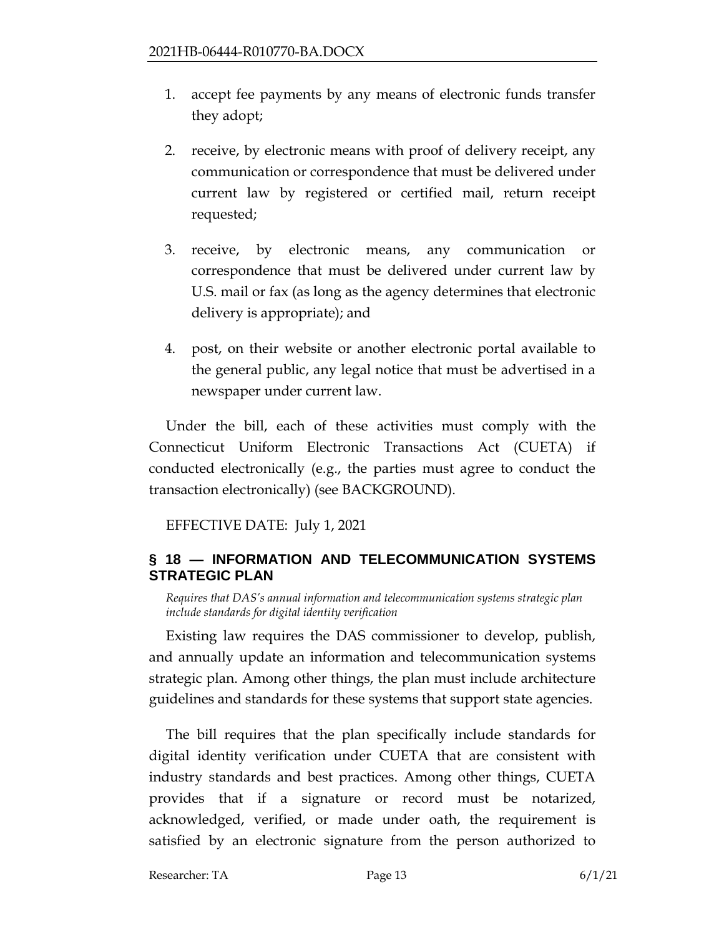- 1. accept fee payments by any means of electronic funds transfer they adopt;
- 2. receive, by electronic means with proof of delivery receipt, any communication or correspondence that must be delivered under current law by registered or certified mail, return receipt requested;
- 3. receive, by electronic means, any communication or correspondence that must be delivered under current law by U.S. mail or fax (as long as the agency determines that electronic delivery is appropriate); and
- 4. post, on their website or another electronic portal available to the general public, any legal notice that must be advertised in a newspaper under current law.

Under the bill, each of these activities must comply with the Connecticut Uniform Electronic Transactions Act (CUETA) if conducted electronically (e.g., the parties must agree to conduct the transaction electronically) (see BACKGROUND).

EFFECTIVE DATE: July 1, 2021

# <span id="page-12-0"></span>**§ 18 — INFORMATION AND TELECOMMUNICATION SYSTEMS STRATEGIC PLAN**

<span id="page-12-1"></span>*Requires that DAS's annual information and telecommunication systems strategic plan include standards for digital identity verification*

Existing law requires the DAS commissioner to develop, publish, and annually update an information and telecommunication systems strategic plan. Among other things, the plan must include architecture guidelines and standards for these systems that support state agencies.

The bill requires that the plan specifically include standards for digital identity verification under CUETA that are consistent with industry standards and best practices. Among other things, CUETA provides that if a signature or record must be notarized, acknowledged, verified, or made under oath, the requirement is satisfied by an electronic signature from the person authorized to

Researcher: TA Page 13 6/1/21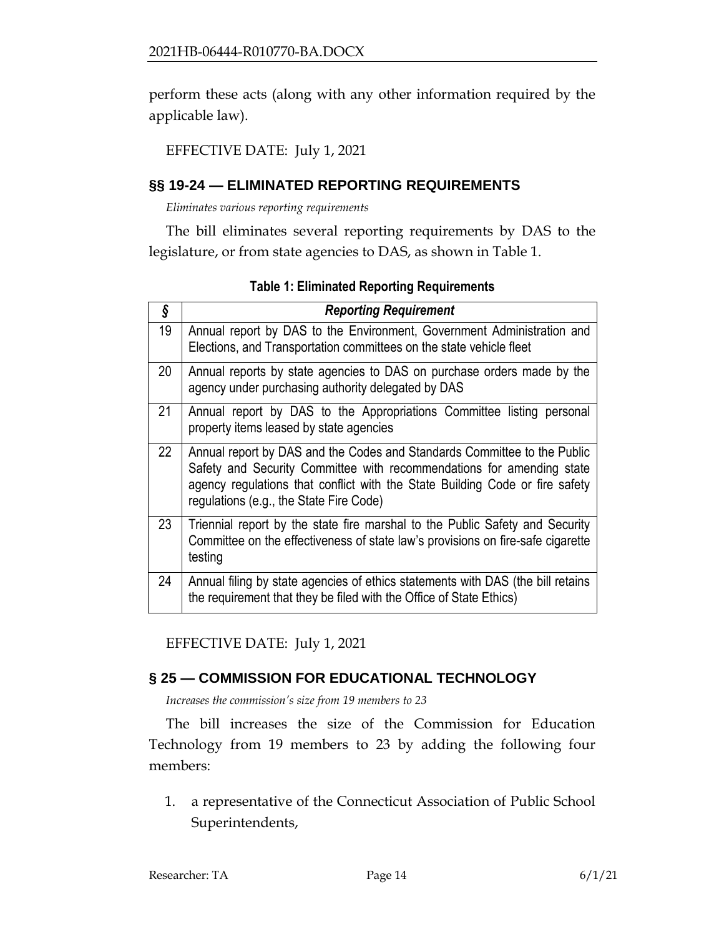perform these acts (along with any other information required by the applicable law).

### EFFECTIVE DATE: July 1, 2021

# <span id="page-13-0"></span>**§§ 19-24 — ELIMINATED REPORTING REQUIREMENTS**

<span id="page-13-1"></span>*Eliminates various reporting requirements*

The bill eliminates several reporting requirements by DAS to the legislature, or from state agencies to DAS, as shown in Table 1.

| ş  | <b>Reporting Requirement</b>                                                                                                                                                                                                                                                 |
|----|------------------------------------------------------------------------------------------------------------------------------------------------------------------------------------------------------------------------------------------------------------------------------|
| 19 | Annual report by DAS to the Environment, Government Administration and<br>Elections, and Transportation committees on the state vehicle fleet                                                                                                                                |
| 20 | Annual reports by state agencies to DAS on purchase orders made by the<br>agency under purchasing authority delegated by DAS                                                                                                                                                 |
| 21 | Annual report by DAS to the Appropriations Committee listing personal<br>property items leased by state agencies                                                                                                                                                             |
| 22 | Annual report by DAS and the Codes and Standards Committee to the Public<br>Safety and Security Committee with recommendations for amending state<br>agency regulations that conflict with the State Building Code or fire safety<br>regulations (e.g., the State Fire Code) |
| 23 | Triennial report by the state fire marshal to the Public Safety and Security<br>Committee on the effectiveness of state law's provisions on fire-safe cigarette<br>testing                                                                                                   |
| 24 | Annual filing by state agencies of ethics statements with DAS (the bill retains<br>the requirement that they be filed with the Office of State Ethics)                                                                                                                       |

**Table 1: Eliminated Reporting Requirements**

EFFECTIVE DATE: July 1, 2021

# <span id="page-13-2"></span>**§ 25 — COMMISSION FOR EDUCATIONAL TECHNOLOGY**

<span id="page-13-3"></span>*Increases the commission's size from 19 members to 23*

The bill increases the size of the Commission for Education Technology from 19 members to 23 by adding the following four members:

1. a representative of the Connecticut Association of Public School Superintendents,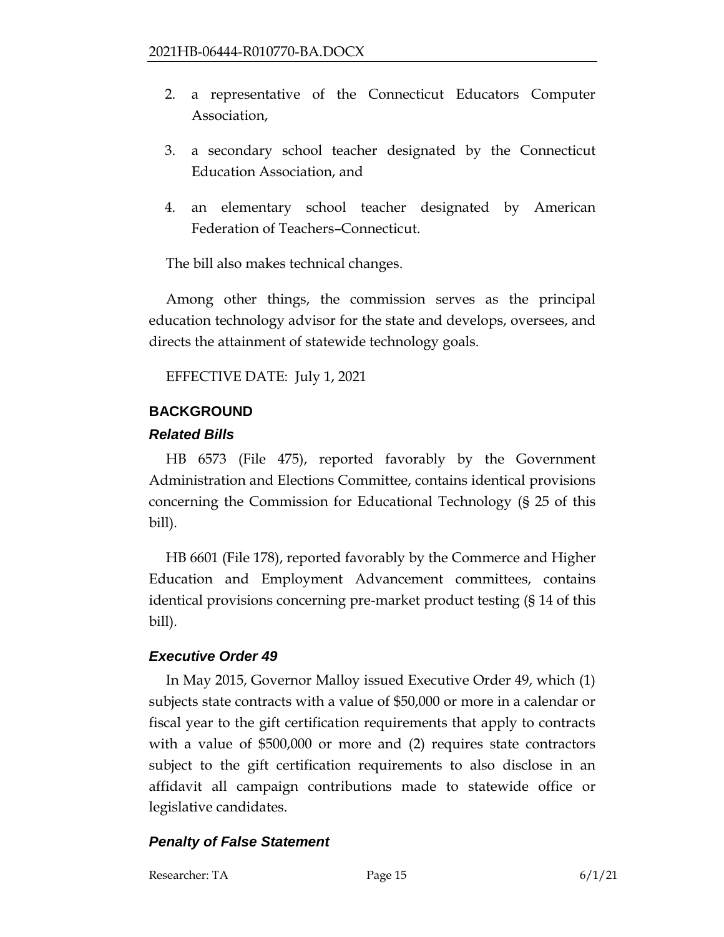- 2. a representative of the Connecticut Educators Computer Association,
- 3. a secondary school teacher designated by the Connecticut Education Association, and
- 4. an elementary school teacher designated by American Federation of Teachers–Connecticut.

The bill also makes technical changes.

Among other things, the commission serves as the principal education technology advisor for the state and develops, oversees, and directs the attainment of statewide technology goals.

EFFECTIVE DATE: July 1, 2021

### <span id="page-14-0"></span>**BACKGROUND**

### *Related Bills*

HB 6573 (File 475), reported favorably by the Government Administration and Elections Committee, contains identical provisions concerning the Commission for Educational Technology (§ 25 of this bill).

HB 6601 (File 178), reported favorably by the Commerce and Higher Education and Employment Advancement committees, contains identical provisions concerning pre-market product testing (§ 14 of this bill).

# *Executive Order 49*

In May 2015, Governor Malloy issued Executive Order 49, which (1) subjects state contracts with a value of \$50,000 or more in a calendar or fiscal year to the gift certification requirements that apply to contracts with a value of \$500,000 or more and (2) requires state contractors subject to the gift certification requirements to also disclose in an affidavit all campaign contributions made to statewide office or legislative candidates.

# *Penalty of False Statement*

Researcher: TA Page 15 6/1/21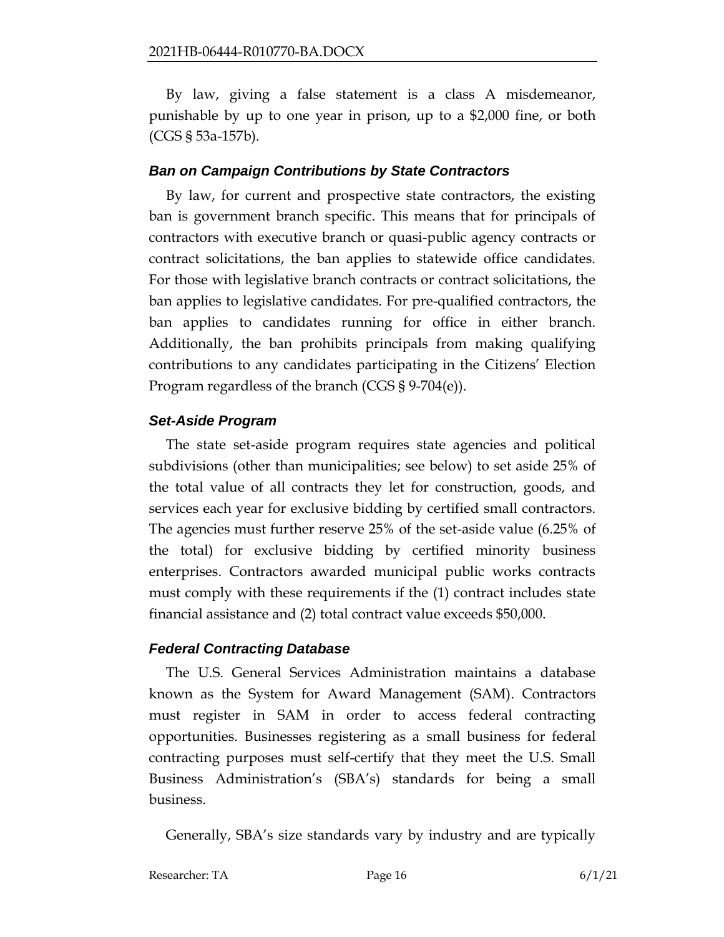By law, giving a false statement is a class A misdemeanor, punishable by up to one year in prison, up to a \$2,000 fine, or both (CGS § 53a-157b).

#### *Ban on Campaign Contributions by State Contractors*

By law, for current and prospective state contractors, the existing ban is government branch specific. This means that for principals of contractors with executive branch or quasi-public agency contracts or contract solicitations, the ban applies to statewide office candidates. For those with legislative branch contracts or contract solicitations, the ban applies to legislative candidates. For pre-qualified contractors, the ban applies to candidates running for office in either branch. Additionally, the ban prohibits principals from making qualifying contributions to any candidates participating in the Citizens' Election Program regardless of the branch (CGS § 9-704(e)).

### *Set-Aside Program*

The state set-aside program requires state agencies and political subdivisions (other than municipalities; see below) to set aside 25% of the total value of all contracts they let for construction, goods, and services each year for exclusive bidding by certified small contractors. The agencies must further reserve 25% of the set-aside value (6.25% of the total) for exclusive bidding by certified minority business enterprises. Contractors awarded municipal public works contracts must comply with these requirements if the (1) contract includes state financial assistance and (2) total contract value exceeds \$50,000.

# *Federal Contracting Database*

The U.S. General Services Administration maintains a database known as the System for Award Management (SAM). Contractors must register in SAM in order to access federal contracting opportunities. Businesses registering as a small business for federal contracting purposes must self-certify that they meet the U.S. Small Business Administration's (SBA's) standards for being a small business.

Generally, SBA's size standards vary by industry and are typically